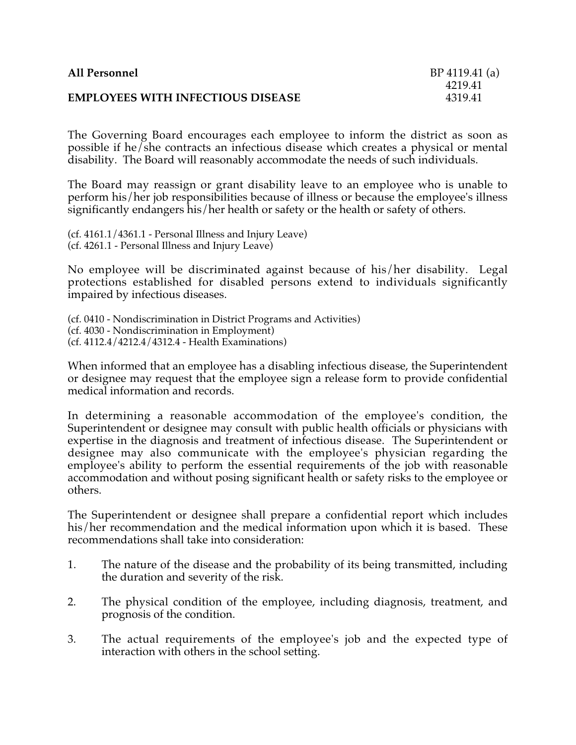| <b>All Personnel</b>                     | BP 4119.41 (a) |
|------------------------------------------|----------------|
|                                          | 4219.41        |
| <b>EMPLOYEES WITH INFECTIOUS DISEASE</b> | 4319.41        |
|                                          |                |

The Governing Board encourages each employee to inform the district as soon as possible if he/she contracts an infectious disease which creates a physical or mental disability. The Board will reasonably accommodate the needs of such individuals.

The Board may reassign or grant disability leave to an employee who is unable to perform his/her job responsibilities because of illness or because the employee's illness significantly endangers his/her health or safety or the health or safety of others.

(cf. 4161.1/4361.1 - Personal Illness and Injury Leave) (cf. 4261.1 - Personal Illness and Injury Leave)

No employee will be discriminated against because of his/her disability. Legal protections established for disabled persons extend to individuals significantly impaired by infectious diseases.

(cf. 0410 - Nondiscrimination in District Programs and Activities) (cf. 4030 - Nondiscrimination in Employment) (cf. 4112.4/4212.4/4312.4 - Health Examinations)

When informed that an employee has a disabling infectious disease, the Superintendent or designee may request that the employee sign a release form to provide confidential medical information and records.

In determining a reasonable accommodation of the employee's condition, the Superintendent or designee may consult with public health officials or physicians with expertise in the diagnosis and treatment of infectious disease. The Superintendent or designee may also communicate with the employee's physician regarding the employee's ability to perform the essential requirements of the job with reasonable accommodation and without posing significant health or safety risks to the employee or others.

The Superintendent or designee shall prepare a confidential report which includes his/her recommendation and the medical information upon which it is based. These recommendations shall take into consideration:

- 1. The nature of the disease and the probability of its being transmitted, including the duration and severity of the risk.
- 2. The physical condition of the employee, including diagnosis, treatment, and prognosis of the condition.
- 3. The actual requirements of the employee's job and the expected type of interaction with others in the school setting.